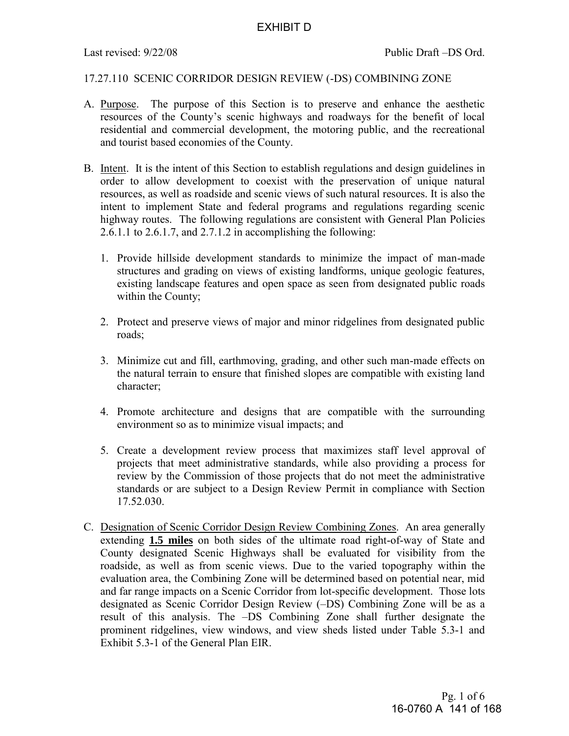# 17.27.110 SCENIC CORRIDOR DESIGN REVIEW (-DS) COMBINING ZONE

- A. Purpose. The purpose of this Section is to preserve and enhance the aesthetic resources of the County's scenic highways and roadways for the benefit of local residential and commercial development, the motoring public, and the recreational and tourist based economies of the County.
- B. Intent. It is the intent of this Section to establish regulations and design guidelines in order to allow development to coexist with the preservation of unique natural resources, as well as roadside and scenic views of such natural resources. It is also the intent to implement State and federal programs and regulations regarding scenic highway routes. The following regulations are consistent with General Plan Policies 2.6.1.1 to 2.6.1.7, and 2.7.1.2 in accomplishing the following:
	- 1. Provide hillside development standards to minimize the impact of man-made structures and grading on views of existing landforms, unique geologic features, existing landscape features and open space as seen from designated public roads within the County;
	- 2. Protect and preserve views of major and minor ridgelines from designated public roads;
	- 3. Minimize cut and fill, earthmoving, grading, and other such man-made effects on the natural terrain to ensure that finished slopes are compatible with existing land character;
	- 4. Promote architecture and designs that are compatible with the surrounding environment so as to minimize visual impacts; and
	- 5. Create a development review process that maximizes staff level approval of projects that meet administrative standards, while also providing a process for review by the Commission of those projects that do not meet the administrative standards or are subject to a Design Review Permit in compliance with Section 17.52.030.
- C. Designation of Scenic Corridor Design Review Combining Zones. An area generally extending **1.5 miles** on both sides of the ultimate road right-of-way of State and County designated Scenic Highways shall be evaluated for visibility from the roadside, as well as from scenic views. Due to the varied topography within the evaluation area, the Combining Zone will be determined based on potential near, mid and far range impacts on a Scenic Corridor from lot-specific development. Those lots designated as Scenic Corridor Design Review (–DS) Combining Zone will be as a result of this analysis. The –DS Combining Zone shall further designate the prominent ridgelines, view windows, and view sheds listed under Table 5.3-1 and Exhibit 5.3-1 of the General Plan EIR.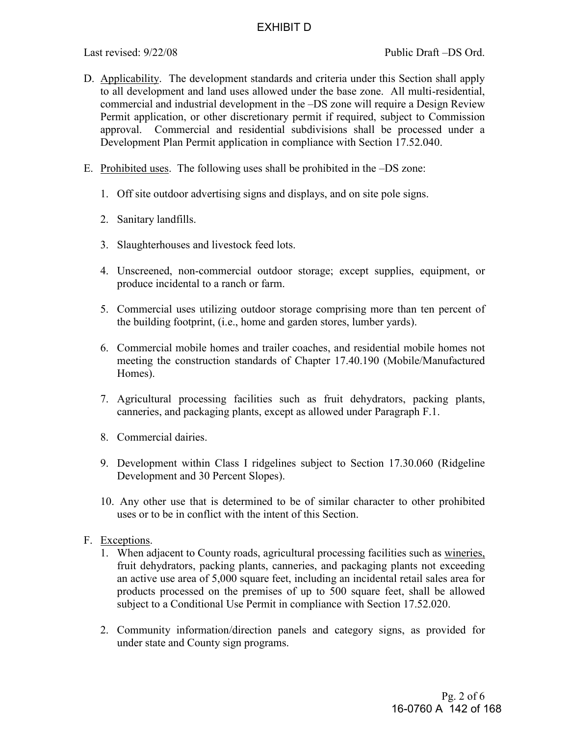- D. Applicability. The development standards and criteria under this Section shall apply to all development and land uses allowed under the base zone. All multi-residential, commercial and industrial development in the –DS zone will require a Design Review Permit application, or other discretionary permit if required, subject to Commission approval. Commercial and residential subdivisions shall be processed under a Development Plan Permit application in compliance with Section 17.52.040.
- E. Prohibited uses. The following uses shall be prohibited in the –DS zone:
	- 1. Off site outdoor advertising signs and displays, and on site pole signs.
	- 2. Sanitary landfills.
	- 3. Slaughterhouses and livestock feed lots.
	- 4. Unscreened, non-commercial outdoor storage; except supplies, equipment, or produce incidental to a ranch or farm.
	- 5. Commercial uses utilizing outdoor storage comprising more than ten percent of the building footprint, (i.e., home and garden stores, lumber yards).
	- 6. Commercial mobile homes and trailer coaches, and residential mobile homes not meeting the construction standards of Chapter 17.40.190 (Mobile/Manufactured Homes).
	- 7. Agricultural processing facilities such as fruit dehydrators, packing plants, canneries, and packaging plants, except as allowed under Paragraph F.1.
	- 8. Commercial dairies.
	- 9. Development within Class I ridgelines subject to Section 17.30.060 (Ridgeline Development and 30 Percent Slopes).
	- 10. Any other use that is determined to be of similar character to other prohibited uses or to be in conflict with the intent of this Section.
- F. Exceptions.
	- 1. When adjacent to County roads, agricultural processing facilities such as wineries, fruit dehydrators, packing plants, canneries, and packaging plants not exceeding an active use area of 5,000 square feet, including an incidental retail sales area for products processed on the premises of up to 500 square feet, shall be allowed subject to a Conditional Use Permit in compliance with Section 17.52.020.
	- 2. Community information/direction panels and category signs, as provided for under state and County sign programs.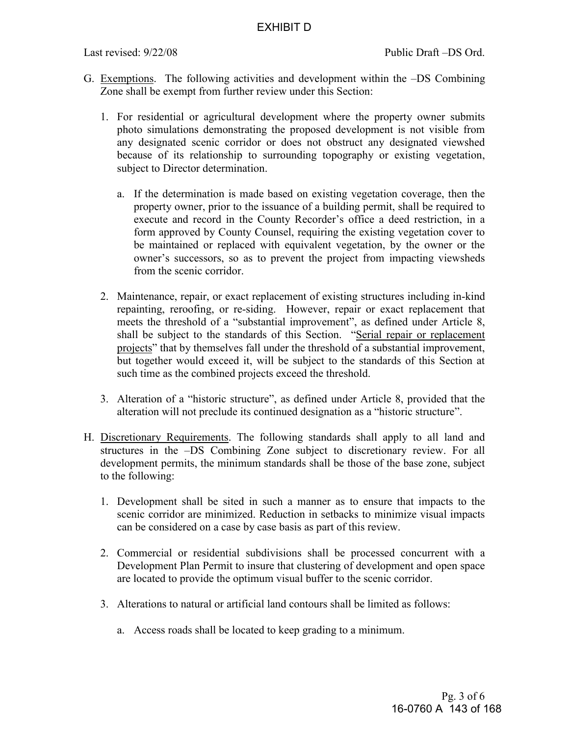- G. Exemptions. The following activities and development within the –DS Combining Zone shall be exempt from further review under this Section:
	- 1. For residential or agricultural development where the property owner submits photo simulations demonstrating the proposed development is not visible from any designated scenic corridor or does not obstruct any designated viewshed because of its relationship to surrounding topography or existing vegetation, subject to Director determination.
		- a. If the determination is made based on existing vegetation coverage, then the property owner, prior to the issuance of a building permit, shall be required to execute and record in the County Recorder's office a deed restriction, in a form approved by County Counsel, requiring the existing vegetation cover to be maintained or replaced with equivalent vegetation, by the owner or the owner's successors, so as to prevent the project from impacting viewsheds from the scenic corridor.
	- 2. Maintenance, repair, or exact replacement of existing structures including in-kind repainting, reroofing, or re-siding. However, repair or exact replacement that meets the threshold of a "substantial improvement", as defined under Article 8, shall be subject to the standards of this Section. "Serial repair or replacement projects" that by themselves fall under the threshold of a substantial improvement, but together would exceed it, will be subject to the standards of this Section at such time as the combined projects exceed the threshold.
	- 3. Alteration of a "historic structure", as defined under Article 8, provided that the alteration will not preclude its continued designation as a "historic structure".
- H. Discretionary Requirements. The following standards shall apply to all land and structures in the –DS Combining Zone subject to discretionary review. For all development permits, the minimum standards shall be those of the base zone, subject to the following:
	- 1. Development shall be sited in such a manner as to ensure that impacts to the scenic corridor are minimized. Reduction in setbacks to minimize visual impacts can be considered on a case by case basis as part of this review.
	- 2. Commercial or residential subdivisions shall be processed concurrent with a Development Plan Permit to insure that clustering of development and open space are located to provide the optimum visual buffer to the scenic corridor.
	- 3. Alterations to natural or artificial land contours shall be limited as follows:
		- a. Access roads shall be located to keep grading to a minimum.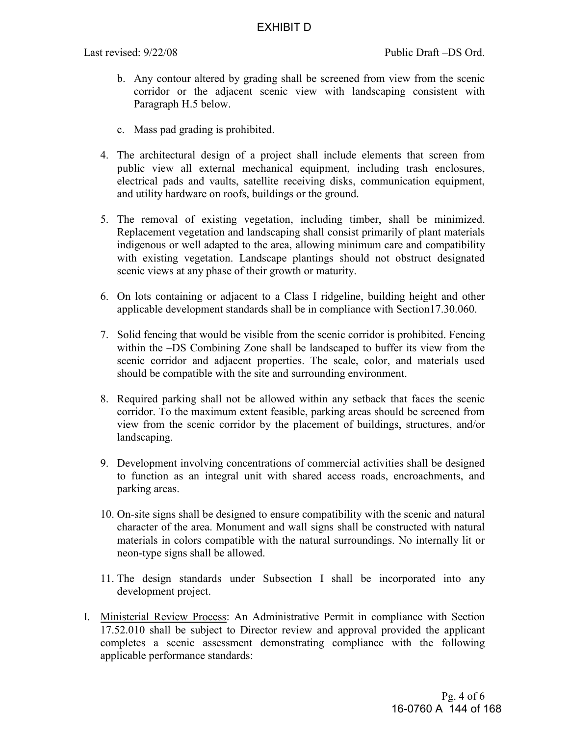- b. Any contour altered by grading shall be screened from view from the scenic corridor or the adjacent scenic view with landscaping consistent with Paragraph H.5 below.
- c. Mass pad grading is prohibited.
- 4. The architectural design of a project shall include elements that screen from public view all external mechanical equipment, including trash enclosures, electrical pads and vaults, satellite receiving disks, communication equipment, and utility hardware on roofs, buildings or the ground.
- 5. The removal of existing vegetation, including timber, shall be minimized. Replacement vegetation and landscaping shall consist primarily of plant materials indigenous or well adapted to the area, allowing minimum care and compatibility with existing vegetation. Landscape plantings should not obstruct designated scenic views at any phase of their growth or maturity.
- 6. On lots containing or adjacent to a Class I ridgeline, building height and other applicable development standards shall be in compliance with Section17.30.060.
- 7. Solid fencing that would be visible from the scenic corridor is prohibited. Fencing within the –DS Combining Zone shall be landscaped to buffer its view from the scenic corridor and adjacent properties. The scale, color, and materials used should be compatible with the site and surrounding environment.
- 8. Required parking shall not be allowed within any setback that faces the scenic corridor. To the maximum extent feasible, parking areas should be screened from view from the scenic corridor by the placement of buildings, structures, and/or landscaping.
- 9. Development involving concentrations of commercial activities shall be designed to function as an integral unit with shared access roads, encroachments, and parking areas.
- 10. On-site signs shall be designed to ensure compatibility with the scenic and natural character of the area. Monument and wall signs shall be constructed with natural materials in colors compatible with the natural surroundings. No internally lit or neon-type signs shall be allowed.
- 11. The design standards under Subsection I shall be incorporated into any development project.
- I. Ministerial Review Process: An Administrative Permit in compliance with Section 17.52.010 shall be subject to Director review and approval provided the applicant completes a scenic assessment demonstrating compliance with the following applicable performance standards: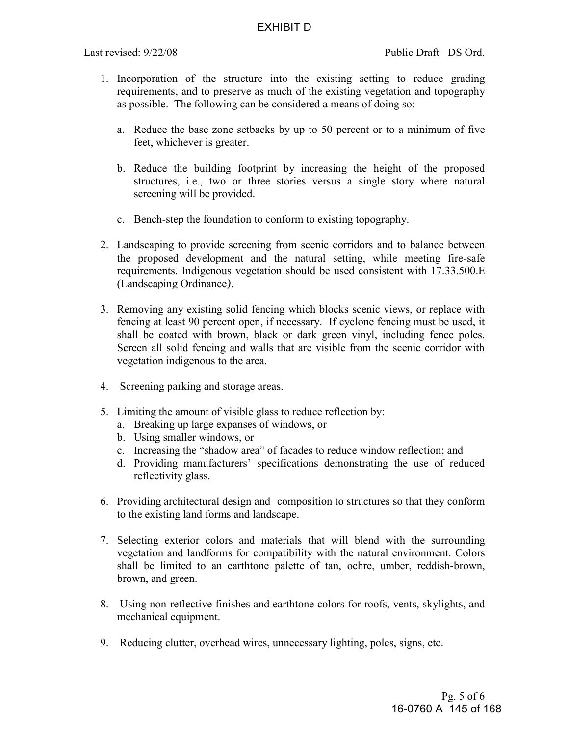- 1. Incorporation of the structure into the existing setting to reduce grading requirements, and to preserve as much of the existing vegetation and topography as possible. The following can be considered a means of doing so:
	- a. Reduce the base zone setbacks by up to 50 percent or to a minimum of five feet, whichever is greater.
	- b. Reduce the building footprint by increasing the height of the proposed structures, i.e., two or three stories versus a single story where natural screening will be provided.
	- c. Bench-step the foundation to conform to existing topography.
- 2. Landscaping to provide screening from scenic corridors and to balance between the proposed development and the natural setting, while meeting fire-safe requirements. Indigenous vegetation should be used consistent with 17.33.500.E (Landscaping Ordinance*)*.
- 3. Removing any existing solid fencing which blocks scenic views, or replace with fencing at least 90 percent open, if necessary. If cyclone fencing must be used, it shall be coated with brown, black or dark green vinyl, including fence poles. Screen all solid fencing and walls that are visible from the scenic corridor with vegetation indigenous to the area.
- 4. Screening parking and storage areas.
- 5. Limiting the amount of visible glass to reduce reflection by:
	- a. Breaking up large expanses of windows, or
	- b. Using smaller windows, or
	- c. Increasing the "shadow area" of facades to reduce window reflection; and
	- d. Providing manufacturers' specifications demonstrating the use of reduced reflectivity glass.
- 6. Providing architectural design and composition to structures so that they conform to the existing land forms and landscape.
- 7. Selecting exterior colors and materials that will blend with the surrounding vegetation and landforms for compatibility with the natural environment. Colors shall be limited to an earthtone palette of tan, ochre, umber, reddish-brown, brown, and green.
- 8. Using non-reflective finishes and earthtone colors for roofs, vents, skylights, and mechanical equipment.
- 9. Reducing clutter, overhead wires, unnecessary lighting, poles, signs, etc.